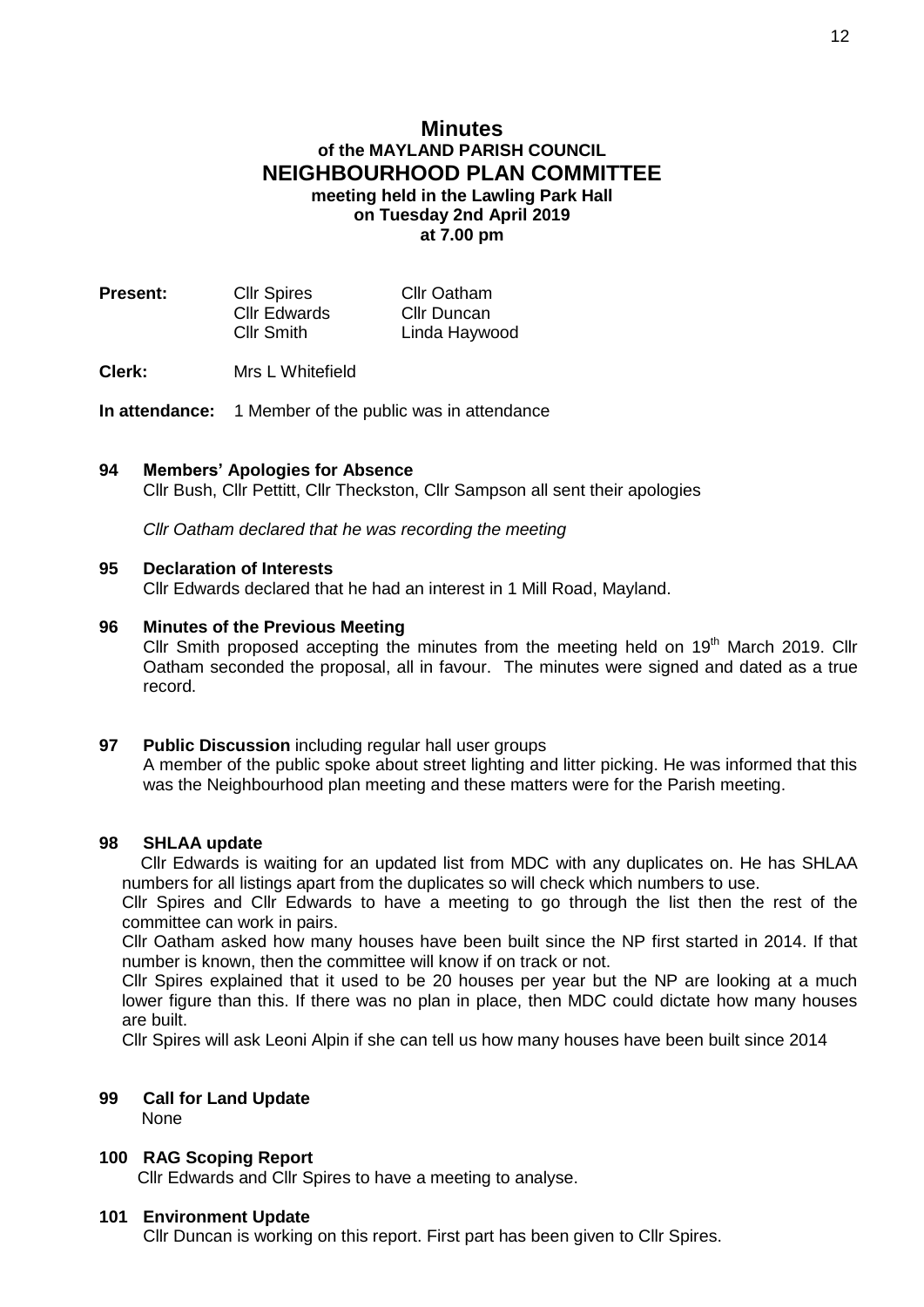# **Minutes of the MAYLAND PARISH COUNCIL NEIGHBOURHOOD PLAN COMMITTEE meeting held in the Lawling Park Hall**

**on Tuesday 2nd April 2019 at 7.00 pm**

| <b>Present:</b> | <b>Cllr Spires</b> | <b>Cllr Oatham</b> |
|-----------------|--------------------|--------------------|
|                 | Cllr Edwards       | Cllr Duncan        |
|                 | <b>Cllr Smith</b>  | Linda Haywood      |

### **Clerk:** Mrs L Whitefield

**In attendance:** 1 Member of the public was in attendance

### **94 Members' Apologies for Absence**

Cllr Bush, Cllr Pettitt, Cllr Theckston, Cllr Sampson all sent their apologies

*Cllr Oatham declared that he was recording the meeting*

### **95 Declaration of Interests**

Cllr Edwards declared that he had an interest in 1 Mill Road, Mayland.

#### **96 Minutes of the Previous Meeting**

Cllr Smith proposed accepting the minutes from the meeting held on  $19<sup>th</sup>$  March 2019. Cllr Oatham seconded the proposal, all in favour. The minutes were signed and dated as a true record.

#### **97 Public Discussion** including regular hall user groups

A member of the public spoke about street lighting and litter picking. He was informed that this was the Neighbourhood plan meeting and these matters were for the Parish meeting.

### **98 SHLAA update**

 Cllr Edwards is waiting for an updated list from MDC with any duplicates on. He has SHLAA numbers for all listings apart from the duplicates so will check which numbers to use.

Cllr Spires and Cllr Edwards to have a meeting to go through the list then the rest of the committee can work in pairs.

Cllr Oatham asked how many houses have been built since the NP first started in 2014. If that number is known, then the committee will know if on track or not.

Cllr Spires explained that it used to be 20 houses per year but the NP are looking at a much lower figure than this. If there was no plan in place, then MDC could dictate how many houses are built.

Cllr Spires will ask Leoni Alpin if she can tell us how many houses have been built since 2014

# **99 Call for Land Update**

None

# **100 RAG Scoping Report**

Cllr Edwards and Cllr Spires to have a meeting to analyse.

#### **101 Environment Update**

Cllr Duncan is working on this report. First part has been given to Cllr Spires.